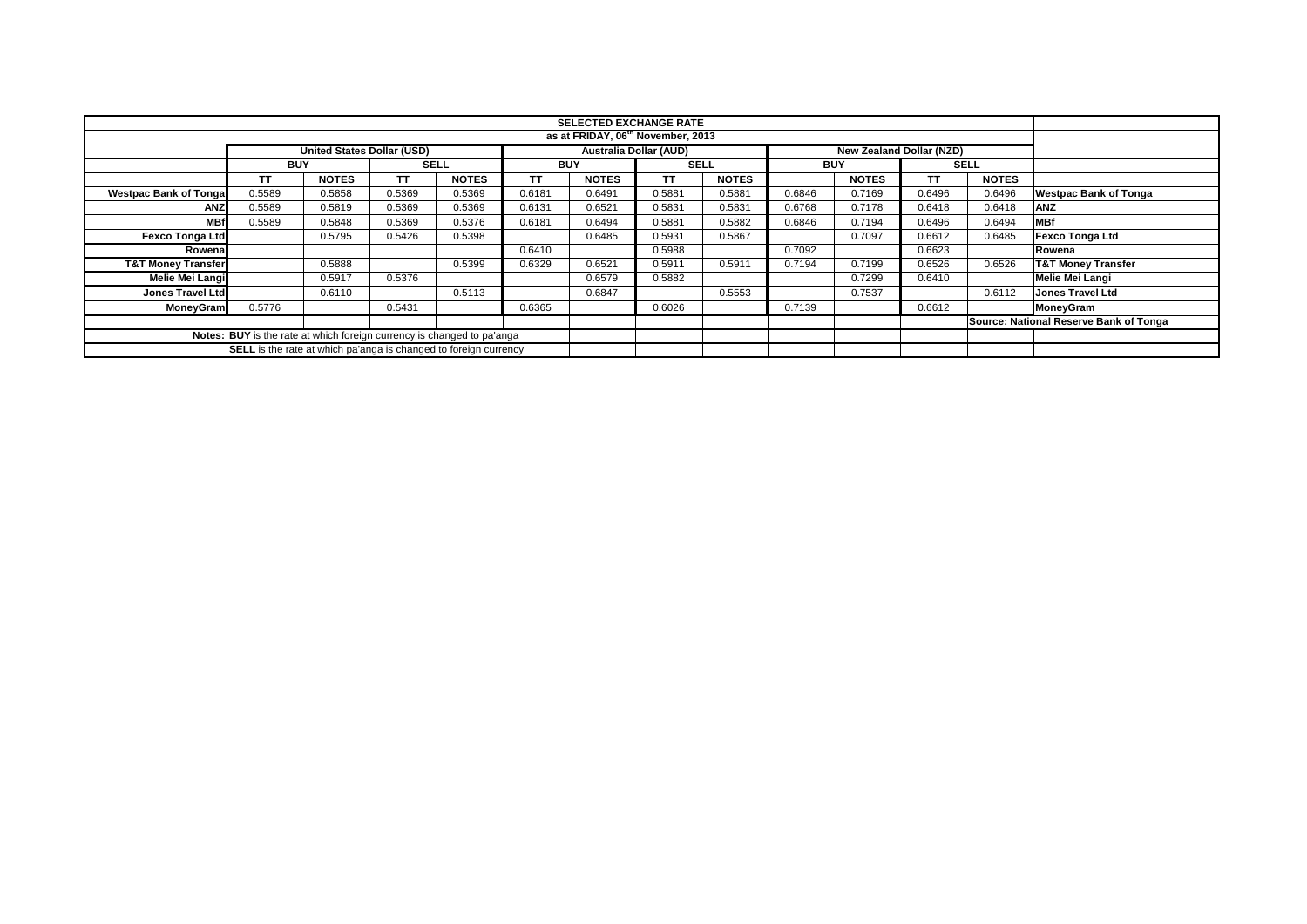|                               |                                                                                                       |              |             |              |            | <b>SELECTED EXCHANGE RATE</b><br>as at FRIDAY, 06 <sup>th</sup> November, 2013 |             |              |            |              |        |              |                                        |
|-------------------------------|-------------------------------------------------------------------------------------------------------|--------------|-------------|--------------|------------|--------------------------------------------------------------------------------|-------------|--------------|------------|--------------|--------|--------------|----------------------------------------|
|                               |                                                                                                       |              |             |              |            |                                                                                |             |              |            |              |        |              |                                        |
|                               | <b>United States Dollar (USD)</b><br><b>Australia Dollar (AUD)</b><br><b>New Zealand Dollar (NZD)</b> |              |             |              |            |                                                                                |             |              |            |              |        |              |                                        |
|                               | <b>BUY</b>                                                                                            |              | <b>SELL</b> |              | <b>BUY</b> |                                                                                | <b>SELL</b> |              | <b>BUY</b> |              |        | <b>SELL</b>  |                                        |
|                               | <b>TT</b>                                                                                             | <b>NOTES</b> | TΤ          | <b>NOTES</b> | <b>TT</b>  | <b>NOTES</b>                                                                   | <b>TT</b>   | <b>NOTES</b> |            | <b>NOTES</b> | ТT     | <b>NOTES</b> |                                        |
| <b>Westpac Bank of Tongal</b> | 0.5589                                                                                                | 0.5858       | 0.5369      | 0.5369       | 0.6181     | 0.6491                                                                         | 0.5881      | 0.5881       | 0.6846     | 0.7169       | 0.6496 | 0.6496       | <b>Westpac Bank of Tonga</b>           |
| ANZ                           | 0.5589                                                                                                | 0.5819       | 0.5369      | 0.5369       | 0.6131     | 0.6521                                                                         | 0.5831      | 0.5831       | 0.6768     | 0.7178       | 0.6418 | 0.6418       | <b>ANZ</b>                             |
| <b>MBf</b>                    | 0.5589                                                                                                | 0.5848       | 0.5369      | 0.5376       | 0.6181     | 0.6494                                                                         | 0.5881      | 0.5882       | 0.6846     | 0.7194       | 0.6496 | 0.6494       | <b>IMBf</b>                            |
| <b>Fexco Tonga Ltd</b>        |                                                                                                       | 0.5795       | 0.5426      | 0.5398       |            | 0.6485                                                                         | 0.5931      | 0.5867       |            | 0.7097       | 0.6612 | 0.6485       | <b>Fexco Tonga Ltd</b>                 |
| Rowenal                       |                                                                                                       |              |             |              | 0.6410     |                                                                                | 0.5988      |              | 0.7092     |              | 0.6623 |              | Rowena                                 |
| <b>T&amp;T Money Transfer</b> |                                                                                                       | 0.5888       |             | 0.5399       | 0.6329     | 0.6521                                                                         | 0.5911      | 0.5911       | 0.7194     | 0.7199       | 0.6526 | 0.6526       | <b>T&amp;T Money Transfer</b>          |
| Melie Mei Langi               |                                                                                                       | 0.5917       | 0.5376      |              |            | 0.6579                                                                         | 0.5882      |              |            | 0.7299       | 0.6410 |              | <b>Melie Mei Langi</b>                 |
| Jones Travel Ltd              |                                                                                                       | 0.6110       |             | 0.5113       |            | 0.6847                                                                         |             | 0.5553       |            | 0.7537       |        | 0.6112       | <b>Jones Travel Ltd</b>                |
| MoneyGram                     | 0.5776                                                                                                |              | 0.5431      |              | 0.6365     |                                                                                | 0.6026      |              | 0.7139     |              | 0.6612 |              | MoneyGram                              |
|                               |                                                                                                       |              |             |              |            |                                                                                |             |              |            |              |        |              | Source: National Reserve Bank of Tonga |
|                               | Notes: BUY is the rate at which foreign currency is changed to pa'anga                                |              |             |              |            |                                                                                |             |              |            |              |        |              |                                        |
|                               | <b>SELL</b> is the rate at which pa'anga is changed to foreign currency                               |              |             |              |            |                                                                                |             |              |            |              |        |              |                                        |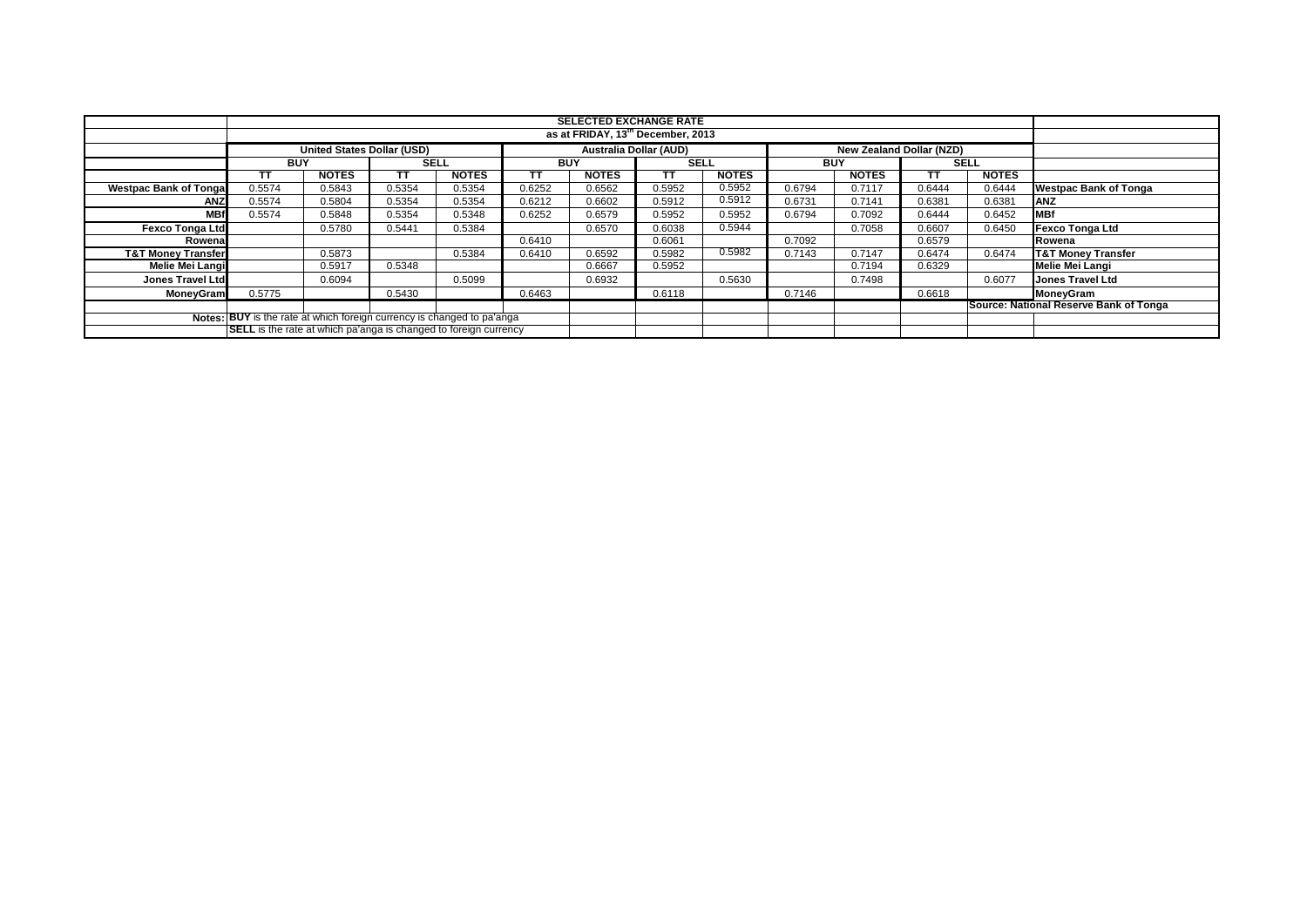|                                                                        |                                                                         |                                   |        |              |            | <b>SELECTED EXCHANGE RATE</b><br>as at FRIDAY, 13 <sup>th</sup> December, 2013 |             |              |            |                                 |                                        |              |                               |
|------------------------------------------------------------------------|-------------------------------------------------------------------------|-----------------------------------|--------|--------------|------------|--------------------------------------------------------------------------------|-------------|--------------|------------|---------------------------------|----------------------------------------|--------------|-------------------------------|
|                                                                        |                                                                         |                                   |        |              |            |                                                                                |             |              |            |                                 |                                        |              |                               |
|                                                                        |                                                                         | <b>United States Dollar (USD)</b> |        |              |            | <b>Australia Dollar (AUD)</b>                                                  |             |              |            | <b>New Zealand Dollar (NZD)</b> |                                        |              |                               |
|                                                                        | <b>BUY</b>                                                              |                                   | SELL   |              | <b>BUY</b> |                                                                                | <b>SELL</b> |              | <b>BUY</b> |                                 | <b>SELL</b>                            |              |                               |
|                                                                        | TΤ                                                                      | <b>NOTES</b>                      | тτ     | <b>NOTES</b> | тт         | <b>NOTES</b>                                                                   | тт          | <b>NOTES</b> |            | <b>NOTES</b>                    | ТΤ                                     | <b>NOTES</b> |                               |
| <b>Westpac Bank of Tongal</b>                                          | 0.5574                                                                  | 0.5843                            | 0.5354 | 0.5354       | 0.6252     | 0.6562                                                                         | 0.5952      | 0.5952       | 0.6794     | 0.7117                          | 0.6444                                 | 0.6444       | <b>Westpac Bank of Tonga</b>  |
| <b>ANZ</b>                                                             | 0.5574                                                                  | 0.5804                            | 0.5354 | 0.5354       | 0.6212     | 0.6602                                                                         | 0.5912      | 0.5912       | 0.6731     | 0.7141                          | 0.6381                                 | 0.6381       | <b>ANZ</b>                    |
| <b>MBf</b>                                                             | 0.5574                                                                  | 0.5848                            | 0.5354 | 0.5348       | 0.6252     | 0.6579                                                                         | 0.5952      | 0.5952       | 0.6794     | 0.7092                          | 0.6444                                 | 0.6452       | <b>MBf</b>                    |
| <b>Fexco Tonga Ltd</b>                                                 |                                                                         | 0.5780                            | 0.5441 | 0.5384       |            | 0.6570                                                                         | 0.6038      | 0.5944       |            | 0.7058                          | 0.6607                                 | 0.6450       | <b>Fexco Tonga Ltd</b>        |
| Rowenal                                                                |                                                                         |                                   |        |              | 0.6410     |                                                                                | 0.6061      |              | 0.7092     |                                 | 0.6579                                 |              | Rowena                        |
| <b>T&amp;T Money Transfer</b>                                          |                                                                         | 0.5873                            |        | 0.5384       | 0.6410     | 0.6592                                                                         | 0.5982      | 0.5982       | 0.7143     | 0.7147                          | 0.6474                                 | 0.6474       | <b>T&amp;T Money Transfer</b> |
| Melie Mei Langi                                                        |                                                                         | 0.5917                            | 0.5348 |              |            | 0.6667                                                                         | 0.5952      |              |            | 0.7194                          | 0.6329                                 |              | <b>Melie Mei Langi</b>        |
| <b>Jones Travel Ltd</b>                                                |                                                                         | 0.6094                            |        | 0.5099       |            | 0.6932                                                                         |             | 0.5630       |            | 0.7498                          |                                        | 0.6077       | <b>Jones Travel Ltd</b>       |
| <b>MoneyGram</b>                                                       | 0.5775                                                                  |                                   | 0.5430 |              | 0.6463     |                                                                                | 0.6118      |              | 0.7146     |                                 | 0.6618                                 |              | MoneyGram                     |
|                                                                        |                                                                         |                                   |        |              |            |                                                                                |             |              |            |                                 | Source: National Reserve Bank of Tonga |              |                               |
| Notes: BUY is the rate at which foreign currency is changed to pa'anga |                                                                         |                                   |        |              |            |                                                                                |             |              |            |                                 |                                        |              |                               |
|                                                                        | <b>SELL</b> is the rate at which pa'anga is changed to foreign currency |                                   |        |              |            |                                                                                |             |              |            |                                 |                                        |              |                               |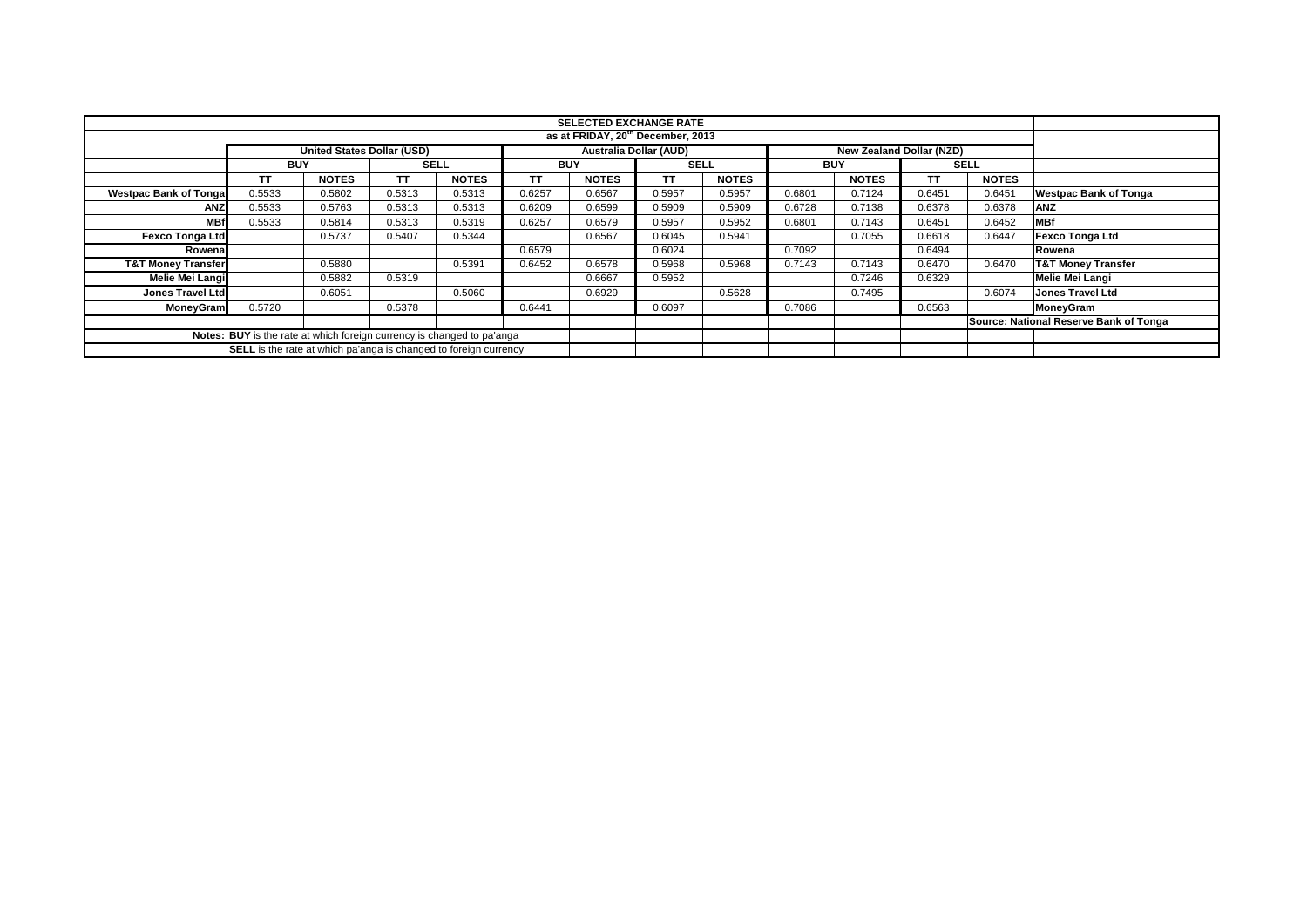|                               |                                                                                                       |              |             |              |            | <b>SELECTED EXCHANGE RATE</b><br>as at FRIDAY, 20 <sup>th</sup> December, 2013 |             |              |            |              |        |              |                                        |
|-------------------------------|-------------------------------------------------------------------------------------------------------|--------------|-------------|--------------|------------|--------------------------------------------------------------------------------|-------------|--------------|------------|--------------|--------|--------------|----------------------------------------|
|                               |                                                                                                       |              |             |              |            |                                                                                |             |              |            |              |        |              |                                        |
|                               | <b>United States Dollar (USD)</b><br><b>Australia Dollar (AUD)</b><br><b>New Zealand Dollar (NZD)</b> |              |             |              |            |                                                                                |             |              |            |              |        |              |                                        |
|                               | <b>BUY</b>                                                                                            |              | <b>SELL</b> |              | <b>BUY</b> |                                                                                | <b>SELL</b> |              | <b>BUY</b> |              |        | <b>SELL</b>  |                                        |
|                               | <b>TT</b>                                                                                             | <b>NOTES</b> | TΤ          | <b>NOTES</b> | <b>TT</b>  | <b>NOTES</b>                                                                   | <b>TT</b>   | <b>NOTES</b> |            | <b>NOTES</b> | ТT     | <b>NOTES</b> |                                        |
| <b>Westpac Bank of Tongal</b> | 0.5533                                                                                                | 0.5802       | 0.5313      | 0.5313       | 0.6257     | 0.6567                                                                         | 0.5957      | 0.5957       | 0.6801     | 0.7124       | 0.6451 | 0.6451       | <b>Westpac Bank of Tonga</b>           |
| ANZ                           | 0.5533                                                                                                | 0.5763       | 0.5313      | 0.5313       | 0.6209     | 0.6599                                                                         | 0.5909      | 0.5909       | 0.6728     | 0.7138       | 0.6378 | 0.6378       | <b>ANZ</b>                             |
| <b>MBf</b>                    | 0.5533                                                                                                | 0.5814       | 0.5313      | 0.5319       | 0.6257     | 0.6579                                                                         | 0.5957      | 0.5952       | 0.6801     | 0.7143       | 0.6451 | 0.6452       | <b>MBf</b>                             |
| <b>Fexco Tonga Ltd</b>        |                                                                                                       | 0.5737       | 0.5407      | 0.5344       |            | 0.6567                                                                         | 0.6045      | 0.5941       |            | 0.7055       | 0.6618 | 0.6447       | <b>Fexco Tonga Ltd</b>                 |
| Rowenal                       |                                                                                                       |              |             |              | 0.6579     |                                                                                | 0.6024      |              | 0.7092     |              | 0.6494 |              | Rowena                                 |
| <b>T&amp;T Money Transfer</b> |                                                                                                       | 0.5880       |             | 0.5391       | 0.6452     | 0.6578                                                                         | 0.5968      | 0.5968       | 0.7143     | 0.7143       | 0.6470 | 0.6470       | <b>T&amp;T Money Transfer</b>          |
| Melie Mei Langi               |                                                                                                       | 0.5882       | 0.5319      |              |            | 0.6667                                                                         | 0.5952      |              |            | 0.7246       | 0.6329 |              | <b>Melie Mei Langi</b>                 |
| Jones Travel Ltd              |                                                                                                       | 0.6051       |             | 0.5060       |            | 0.6929                                                                         |             | 0.5628       |            | 0.7495       |        | 0.6074       | <b>Jones Travel Ltd</b>                |
| MoneyGram                     | 0.5720                                                                                                |              | 0.5378      |              | 0.6441     |                                                                                | 0.6097      |              | 0.7086     |              | 0.6563 |              | MoneyGram                              |
|                               |                                                                                                       |              |             |              |            |                                                                                |             |              |            |              |        |              | Source: National Reserve Bank of Tonga |
|                               | Notes: BUY is the rate at which foreign currency is changed to pa'anga                                |              |             |              |            |                                                                                |             |              |            |              |        |              |                                        |
|                               | <b>SELL</b> is the rate at which pa'anga is changed to foreign currency                               |              |             |              |            |                                                                                |             |              |            |              |        |              |                                        |